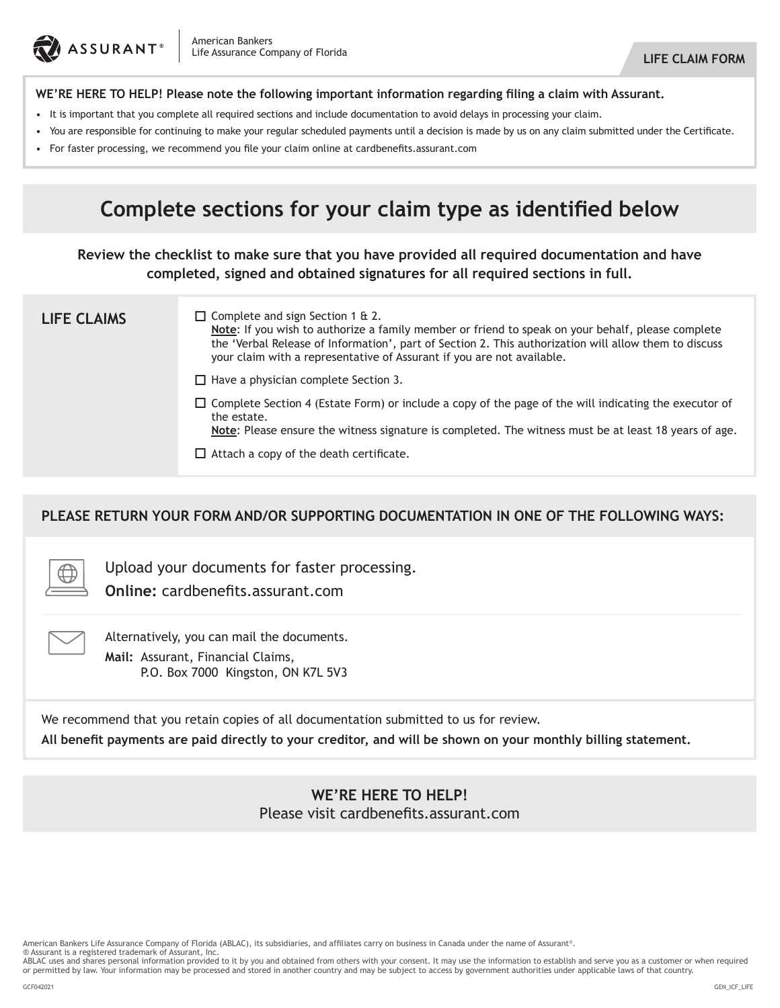

### **WE'RE HERE TO HELP! Please note the following important information regarding filing a claim with Assurant.**

- It is important that you complete all required sections and include documentation to avoid delays in processing your claim.
- You are responsible for continuing to make your regular scheduled payments until a decision is made by us on any claim submitted under the Certificate.
- • For faster processing, we recommend you file your claim online at cardbenefits.assurant.com

# **Complete sections for your claim type as identified below**

**Review the checklist to make sure that you have provided all required documentation and have completed, signed and obtained signatures for all required sections in full.**

| <b>LIFE CLAIMS</b> | $\Box$ Complete and sign Section 1 & 2.<br>Note: If you wish to authorize a family member or friend to speak on your behalf, please complete<br>the 'Verbal Release of Information', part of Section 2. This authorization will allow them to discuss<br>your claim with a representative of Assurant if you are not available. |  |  |  |  |  |  |
|--------------------|---------------------------------------------------------------------------------------------------------------------------------------------------------------------------------------------------------------------------------------------------------------------------------------------------------------------------------|--|--|--|--|--|--|
|                    | $\Box$ Have a physician complete Section 3.                                                                                                                                                                                                                                                                                     |  |  |  |  |  |  |
|                    | $\Box$ Complete Section 4 (Estate Form) or include a copy of the page of the will indicating the executor of<br>the estate.<br>Note: Please ensure the witness signature is completed. The witness must be at least 18 years of age.                                                                                            |  |  |  |  |  |  |
|                    | $\Box$ Attach a copy of the death certificate.                                                                                                                                                                                                                                                                                  |  |  |  |  |  |  |

### **PLEASE RETURN YOUR FORM AND/OR SUPPORTING DOCUMENTATION IN ONE OF THE FOLLOWING WAYS:**

Upload your documents for faster processing.

**Online:** cardbenefits.assurant.com

Alternatively, you can mail the documents. **Mail:** Assurant, Financial Claims,

P.O. Box 7000 Kingston, ON K7L 5V3

We recommend that you retain copies of all documentation submitted to us for review.

**All benefit payments are paid directly to your creditor, and will be shown on your monthly billing statement.**

### **WE'RE HERE TO HELP!** Please visit cardbenefits.assurant.com

American Bankers Life Assurance Company of Florida (ABLAC), its subsidiaries, and affiliates carry on business in Canada under the name of Assurant®.

® Assurant is a registered trademark of Assurant, Inc.<br>ABLAC uses and shares personal information provided to it by you and obtained from others with your consent. It may use the information to establish and serve you as a or permitted by law. Your information may be processed and stored in another country and may be subject to access by government authorities under applicable laws of that country.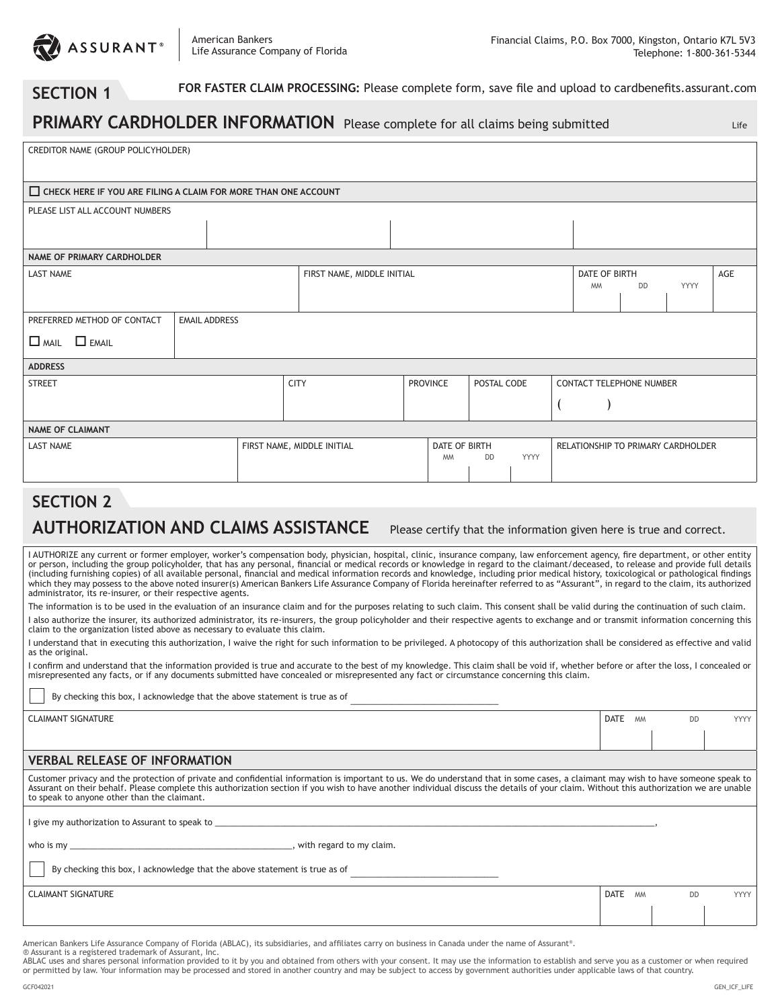

### **SECTION 1**

 **FOR FASTER CLAIM PROCESSING:** Please complete form, save file and upload to cardbenefits.assurant.com

### **PRIMARY CARDHOLDER INFORMATION** Please complete for all claims being submitted

Life

| CREDITOR NAME (GROUP POLICYHOLDER)                                                                                                                                                                                                                                                                                                                                                                                                                                                                                                                                                                                                                                                                                                                                                                                            |                                                                                             |  |  |  |  |                                 |           |           |                                    |             |  |  |  |  |  |
|-------------------------------------------------------------------------------------------------------------------------------------------------------------------------------------------------------------------------------------------------------------------------------------------------------------------------------------------------------------------------------------------------------------------------------------------------------------------------------------------------------------------------------------------------------------------------------------------------------------------------------------------------------------------------------------------------------------------------------------------------------------------------------------------------------------------------------|---------------------------------------------------------------------------------------------|--|--|--|--|---------------------------------|-----------|-----------|------------------------------------|-------------|--|--|--|--|--|
| $\Box$ CHECK HERE IF YOU ARE FILING A CLAIM FOR MORE THAN ONE ACCOUNT                                                                                                                                                                                                                                                                                                                                                                                                                                                                                                                                                                                                                                                                                                                                                         |                                                                                             |  |  |  |  |                                 |           |           |                                    |             |  |  |  |  |  |
| PLEASE LIST ALL ACCOUNT NUMBERS                                                                                                                                                                                                                                                                                                                                                                                                                                                                                                                                                                                                                                                                                                                                                                                               |                                                                                             |  |  |  |  |                                 |           |           |                                    |             |  |  |  |  |  |
|                                                                                                                                                                                                                                                                                                                                                                                                                                                                                                                                                                                                                                                                                                                                                                                                                               |                                                                                             |  |  |  |  |                                 |           |           |                                    |             |  |  |  |  |  |
| <b>NAME OF PRIMARY CARDHOLDER</b>                                                                                                                                                                                                                                                                                                                                                                                                                                                                                                                                                                                                                                                                                                                                                                                             |                                                                                             |  |  |  |  |                                 |           |           |                                    |             |  |  |  |  |  |
| <b>LAST NAME</b>                                                                                                                                                                                                                                                                                                                                                                                                                                                                                                                                                                                                                                                                                                                                                                                                              | FIRST NAME, MIDDLE INITIAL<br>DATE OF BIRTH                                                 |  |  |  |  |                                 |           |           |                                    | AGE         |  |  |  |  |  |
|                                                                                                                                                                                                                                                                                                                                                                                                                                                                                                                                                                                                                                                                                                                                                                                                                               |                                                                                             |  |  |  |  |                                 | <b>MM</b> | <b>DD</b> | YYYY                               |             |  |  |  |  |  |
| PREFERRED METHOD OF CONTACT                                                                                                                                                                                                                                                                                                                                                                                                                                                                                                                                                                                                                                                                                                                                                                                                   | <b>EMAIL ADDRESS</b>                                                                        |  |  |  |  |                                 |           |           |                                    |             |  |  |  |  |  |
| $\Box$ Mail $\Box$ Email                                                                                                                                                                                                                                                                                                                                                                                                                                                                                                                                                                                                                                                                                                                                                                                                      |                                                                                             |  |  |  |  |                                 |           |           |                                    |             |  |  |  |  |  |
|                                                                                                                                                                                                                                                                                                                                                                                                                                                                                                                                                                                                                                                                                                                                                                                                                               |                                                                                             |  |  |  |  |                                 |           |           |                                    |             |  |  |  |  |  |
| <b>ADDRESS</b><br><b>STREET</b>                                                                                                                                                                                                                                                                                                                                                                                                                                                                                                                                                                                                                                                                                                                                                                                               | <b>CITY</b><br><b>PROVINCE</b><br>POSTAL CODE                                               |  |  |  |  |                                 |           |           |                                    |             |  |  |  |  |  |
|                                                                                                                                                                                                                                                                                                                                                                                                                                                                                                                                                                                                                                                                                                                                                                                                                               |                                                                                             |  |  |  |  | <b>CONTACT TELEPHONE NUMBER</b> |           |           |                                    |             |  |  |  |  |  |
|                                                                                                                                                                                                                                                                                                                                                                                                                                                                                                                                                                                                                                                                                                                                                                                                                               |                                                                                             |  |  |  |  | (                               |           |           |                                    |             |  |  |  |  |  |
| <b>NAME OF CLAIMANT</b>                                                                                                                                                                                                                                                                                                                                                                                                                                                                                                                                                                                                                                                                                                                                                                                                       |                                                                                             |  |  |  |  |                                 |           |           |                                    |             |  |  |  |  |  |
| <b>LAST NAME</b>                                                                                                                                                                                                                                                                                                                                                                                                                                                                                                                                                                                                                                                                                                                                                                                                              | FIRST NAME, MIDDLE INITIAL<br><b>DATE OF BIRTH</b><br><b>YYYY</b><br><b>MM</b><br><b>DD</b> |  |  |  |  |                                 |           |           | RELATIONSHIP TO PRIMARY CARDHOLDER |             |  |  |  |  |  |
|                                                                                                                                                                                                                                                                                                                                                                                                                                                                                                                                                                                                                                                                                                                                                                                                                               |                                                                                             |  |  |  |  |                                 |           |           |                                    |             |  |  |  |  |  |
| <b>SECTION 2</b>                                                                                                                                                                                                                                                                                                                                                                                                                                                                                                                                                                                                                                                                                                                                                                                                              |                                                                                             |  |  |  |  |                                 |           |           |                                    |             |  |  |  |  |  |
| <b>AUTHORIZATION AND CLAIMS ASSISTANCE</b><br>Please certify that the information given here is true and correct.                                                                                                                                                                                                                                                                                                                                                                                                                                                                                                                                                                                                                                                                                                             |                                                                                             |  |  |  |  |                                 |           |           |                                    |             |  |  |  |  |  |
| I AUTHORIZE any current or former employer, worker's compensation body, physician, hospital, clinic, insurance company, law enforcement agency, fire department, or other entity<br>or person, including the group policyholder, that has any personal, financial or medical records or knowledge in regard to the claimant/deceased, to release and provide full details<br>(including furnishing copies) of all available personal, financial and medical information records and knowledge, including prior medical history, toxicological or pathological findings<br>which they may possess to the above noted insurer(s) American Bankers Life Assurance Company of Florida hereinafter referred to as "Assurant", in regard to the claim, its authorized<br>administrator, its re-insurer, or their respective agents. |                                                                                             |  |  |  |  |                                 |           |           |                                    |             |  |  |  |  |  |
| The information is to be used in the evaluation of an insurance claim and for the purposes relating to such claim. This consent shall be valid during the continuation of such claim.                                                                                                                                                                                                                                                                                                                                                                                                                                                                                                                                                                                                                                         |                                                                                             |  |  |  |  |                                 |           |           |                                    |             |  |  |  |  |  |
| I also authorize the insurer, its authorized administrator, its re-insurers, the group policyholder and their respective agents to exchange and or transmit information concerning this<br>claim to the organization listed above as necessary to evaluate this claim.                                                                                                                                                                                                                                                                                                                                                                                                                                                                                                                                                        |                                                                                             |  |  |  |  |                                 |           |           |                                    |             |  |  |  |  |  |
| I understand that in executing this authorization, I waive the right for such information to be privileged. A photocopy of this authorization shall be considered as effective and valid<br>as the original.                                                                                                                                                                                                                                                                                                                                                                                                                                                                                                                                                                                                                  |                                                                                             |  |  |  |  |                                 |           |           |                                    |             |  |  |  |  |  |
| I confirm and understand that the information provided is true and accurate to the best of my knowledge. This claim shall be void if, whether before or after the loss, I concealed or<br>misrepresented any facts, or if any documents submitted have concealed or misrepresented any fact or circumstance concerning this claim.                                                                                                                                                                                                                                                                                                                                                                                                                                                                                            |                                                                                             |  |  |  |  |                                 |           |           |                                    |             |  |  |  |  |  |
| By checking this box, I acknowledge that the above statement is true as of                                                                                                                                                                                                                                                                                                                                                                                                                                                                                                                                                                                                                                                                                                                                                    |                                                                                             |  |  |  |  |                                 |           |           |                                    |             |  |  |  |  |  |
| <b>CLAIMANT SIGNATURE</b>                                                                                                                                                                                                                                                                                                                                                                                                                                                                                                                                                                                                                                                                                                                                                                                                     |                                                                                             |  |  |  |  |                                 |           | DATE MM   | <b>DD</b>                          | <b>YYYY</b> |  |  |  |  |  |
|                                                                                                                                                                                                                                                                                                                                                                                                                                                                                                                                                                                                                                                                                                                                                                                                                               |                                                                                             |  |  |  |  |                                 |           |           |                                    |             |  |  |  |  |  |
| <b>VERBAL RELEASE OF INFORMATION</b>                                                                                                                                                                                                                                                                                                                                                                                                                                                                                                                                                                                                                                                                                                                                                                                          |                                                                                             |  |  |  |  |                                 |           |           |                                    |             |  |  |  |  |  |

#### Customer privacy and the protection of private and confidential information is important to us. We do understand that in some cases, a claimant may wish to have someone speak to Assurant on their behalf. Please complete this authorization section if you wish to have another individual discuss the details of your claim. Without this authorization we are unable to speak to anyone other than the claimant.

I give my authorization to Assurant to speak to

who is my \_\_\_\_\_\_\_\_\_\_\_\_\_\_\_\_\_\_\_\_\_\_\_\_\_\_\_\_\_\_\_\_\_\_\_\_\_\_\_\_\_\_\_\_\_\_\_\_, with regard to my claim.

By checking this box, I acknowledge that the above statement is true as of

**CLAIMANT SIGNATURE DATE AND DESCRIPTION OF A SECOND TO A SECOND TO A SECOND VIOLET AND DESCRIPTION OF A SECOND VYYY** 

American Bankers Life Assurance Company of Florida (ABLAC), its subsidiaries, and affiliates carry on business in Canada under the name of Assurant®.

® Assurant is a registered trademark of Assurant, Inc.<br>ABLAC uses and shares personal information provided to it by you and obtained from others with your consent. It may use the information to establish and serve you as a or permitted by law. Your information may be processed and stored in another country and may be subject to access by government authorities under applicable laws of that country.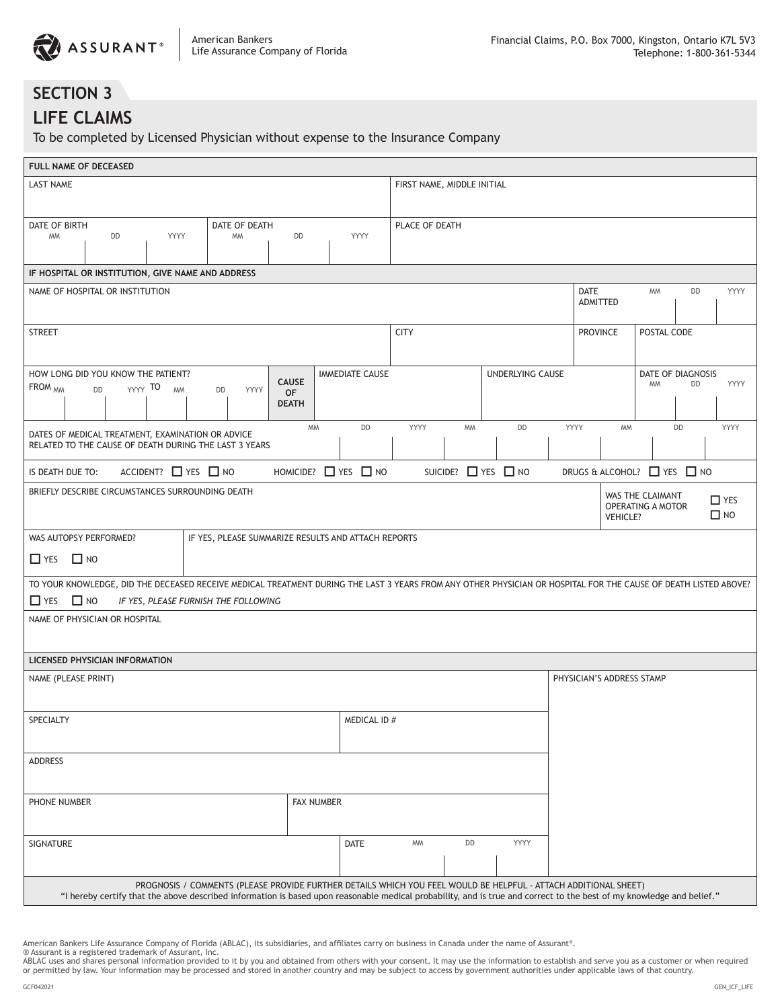

# **SECTION 3**

## **LIFE CLAIMS**

To be completed by Licensed Physician without expense to the Insurance Company

| FULL NAME OF DECEASED                                                                                                                                                         |                                                                                                                                                                                                                                                                                          |                                |  |                                                     |                                           |                            |                                |                                            |                               |  |                         |  |                                |                           |                                       |                           |                         |
|-------------------------------------------------------------------------------------------------------------------------------------------------------------------------------|------------------------------------------------------------------------------------------------------------------------------------------------------------------------------------------------------------------------------------------------------------------------------------------|--------------------------------|--|-----------------------------------------------------|-------------------------------------------|----------------------------|--------------------------------|--------------------------------------------|-------------------------------|--|-------------------------|--|--------------------------------|---------------------------|---------------------------------------|---------------------------|-------------------------|
| <b>LAST NAME</b>                                                                                                                                                              |                                                                                                                                                                                                                                                                                          |                                |  |                                                     |                                           | FIRST NAME, MIDDLE INITIAL |                                |                                            |                               |  |                         |  |                                |                           |                                       |                           |                         |
| DATE OF BIRTH                                                                                                                                                                 |                                                                                                                                                                                                                                                                                          |                                |  | DATE OF DEATH                                       |                                           |                            |                                | PLACE OF DEATH                             |                               |  |                         |  |                                |                           |                                       |                           |                         |
| <b>MM</b>                                                                                                                                                                     | DD                                                                                                                                                                                                                                                                                       | YYYY                           |  | <b>MM</b>                                           | DD                                        |                            | YYYY                           |                                            |                               |  |                         |  |                                |                           |                                       |                           |                         |
| IF HOSPITAL OR INSTITUTION, GIVE NAME AND ADDRESS                                                                                                                             |                                                                                                                                                                                                                                                                                          |                                |  |                                                     |                                           |                            |                                |                                            |                               |  |                         |  |                                |                           |                                       |                           |                         |
| NAME OF HOSPITAL OR INSTITUTION                                                                                                                                               |                                                                                                                                                                                                                                                                                          |                                |  |                                                     |                                           |                            |                                | DATE<br><b>MM</b><br>DD<br><b>ADMITTED</b> |                               |  |                         |  | YYYY                           |                           |                                       |                           |                         |
| <b>STREET</b>                                                                                                                                                                 |                                                                                                                                                                                                                                                                                          |                                |  |                                                     |                                           |                            |                                | <b>CITY</b>                                |                               |  |                         |  | POSTAL CODE<br><b>PROVINCE</b> |                           |                                       |                           |                         |
| HOW LONG DID YOU KNOW THE PATIENT?                                                                                                                                            |                                                                                                                                                                                                                                                                                          |                                |  |                                                     |                                           |                            | <b>IMMEDIATE CAUSE</b>         |                                            |                               |  | <b>UNDERLYING CAUSE</b> |  | DATE OF DIAGNOSIS              |                           |                                       |                           |                         |
| FROM <sub>MM</sub>                                                                                                                                                            | <b>DD</b>                                                                                                                                                                                                                                                                                | YYYY TO<br><b>MM</b>           |  | YYYY<br><b>DD</b>                                   | <b>CAUSE</b><br><b>OF</b><br><b>DEATH</b> |                            |                                |                                            |                               |  |                         |  |                                |                           | <b>MM</b>                             | DD                        | YYYY                    |
| DATES OF MEDICAL TREATMENT, EXAMINATION OR ADVICE<br>RELATED TO THE CAUSE OF DEATH DURING THE LAST 3 YEARS                                                                    |                                                                                                                                                                                                                                                                                          |                                |  |                                                     | <b>MM</b>                                 |                            | DD                             | YYYY                                       | <b>MM</b>                     |  | DD                      |  | YYYY                           | <b>MM</b>                 |                                       | DD                        | YYYY                    |
| IS DEATH DUE TO:                                                                                                                                                              |                                                                                                                                                                                                                                                                                          | ACCIDENT? $\Box$ YES $\Box$ NO |  |                                                     |                                           |                            | HOMICIDE? $\Box$ YES $\Box$ NO |                                            | SUICIDE? $\Box$ YES $\Box$ NO |  |                         |  |                                |                           |                                       | DRUGS & ALCOHOL? THES THO |                         |
| BRIEFLY DESCRIBE CIRCUMSTANCES SURROUNDING DEATH                                                                                                                              |                                                                                                                                                                                                                                                                                          |                                |  |                                                     |                                           |                            |                                |                                            |                               |  |                         |  |                                | <b>VEHICLE?</b>           | WAS THE CLAIMANT<br>OPERATING A MOTOR |                           | $\Box$ YES<br>$\Box$ NO |
| WAS AUTOPSY PERFORMED?<br>$\Box$ YES $\Box$ NO                                                                                                                                |                                                                                                                                                                                                                                                                                          |                                |  | IF YES, PLEASE SUMMARIZE RESULTS AND ATTACH REPORTS |                                           |                            |                                |                                            |                               |  |                         |  |                                |                           |                                       |                           |                         |
| TO YOUR KNOWLEDGE, DID THE DECEASED RECEIVE MEDICAL TREATMENT DURING THE LAST 3 YEARS FROM ANY OTHER PHYSICIAN OR HOSPITAL FOR THE CAUSE OF DEATH LISTED ABOVE?<br>$\Box$ YES | $\Box$ NO                                                                                                                                                                                                                                                                                |                                |  | IF YES, PLEASE FURNISH THE FOLLOWING                |                                           |                            |                                |                                            |                               |  |                         |  |                                |                           |                                       |                           |                         |
| NAME OF PHYSICIAN OR HOSPITAL                                                                                                                                                 |                                                                                                                                                                                                                                                                                          |                                |  |                                                     |                                           |                            |                                |                                            |                               |  |                         |  |                                |                           |                                       |                           |                         |
| LICENSED PHYSICIAN INFORMATION                                                                                                                                                |                                                                                                                                                                                                                                                                                          |                                |  |                                                     |                                           |                            |                                |                                            |                               |  |                         |  |                                |                           |                                       |                           |                         |
| NAME (PLEASE PRINT)                                                                                                                                                           |                                                                                                                                                                                                                                                                                          |                                |  |                                                     |                                           |                            |                                |                                            |                               |  |                         |  |                                | PHYSICIAN'S ADDRESS STAMP |                                       |                           |                         |
| SPECIALTY                                                                                                                                                                     |                                                                                                                                                                                                                                                                                          |                                |  |                                                     |                                           |                            | MEDICAL ID #                   |                                            |                               |  |                         |  |                                |                           |                                       |                           |                         |
| <b>ADDRESS</b>                                                                                                                                                                |                                                                                                                                                                                                                                                                                          |                                |  |                                                     |                                           |                            |                                |                                            |                               |  |                         |  |                                |                           |                                       |                           |                         |
| PHONE NUMBER                                                                                                                                                                  |                                                                                                                                                                                                                                                                                          |                                |  |                                                     |                                           | <b>FAX NUMBER</b>          |                                |                                            |                               |  |                         |  |                                |                           |                                       |                           |                         |
| SIGNATURE                                                                                                                                                                     |                                                                                                                                                                                                                                                                                          |                                |  |                                                     |                                           |                            | <b>DATE</b>                    | <b>MM</b>                                  | DD                            |  | YYYY                    |  |                                |                           |                                       |                           |                         |
|                                                                                                                                                                               | PROGNOSIS / COMMENTS (PLEASE PROVIDE FURTHER DETAILS WHICH YOU FEEL WOULD BE HELPFUL - ATTACH ADDITIONAL SHEET)<br>"I hereby certify that the above described information is based upon reasonable medical probability, and is true and correct to the best of my knowledge and belief." |                                |  |                                                     |                                           |                            |                                |                                            |                               |  |                         |  |                                |                           |                                       |                           |                         |

American Bankers Life Assurance Company of Florida (ABLAC), its subsidiaries, and affiliates carry on business in Canada under the name of Assurant®.

® Assurant is a registered trademark of Assurant, Inc.<br>ABLAC uses and shares personal information provided to it by you and obtained from others with your consent. It may use the information to establish and serve you as a